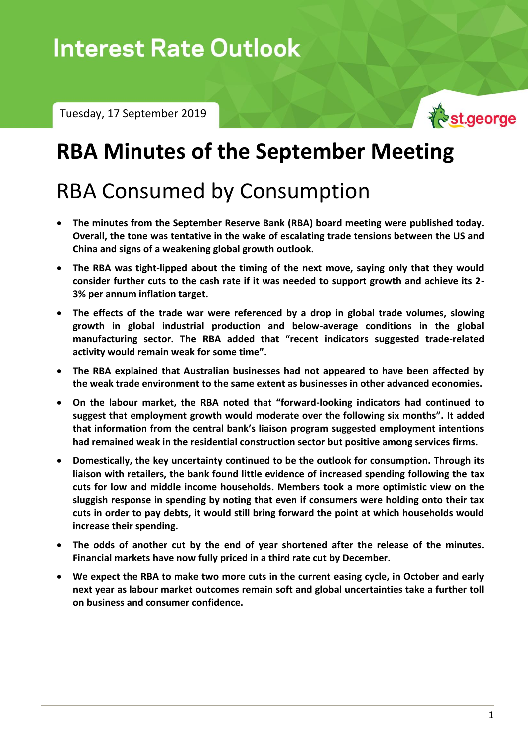# **Interest Rate Outlook**

Tuesday, 17 September 2019



### **RBA Minutes of the September Meeting**

## RBA Consumed by Consumption

- **The minutes from the September Reserve Bank (RBA) board meeting were published today. Overall, the tone was tentative in the wake of escalating trade tensions between the US and China and signs of a weakening global growth outlook.**
- **The RBA was tight-lipped about the timing of the next move, saying only that they would consider further cuts to the cash rate if it was needed to support growth and achieve its 2- 3% per annum inflation target.**
- **The effects of the trade war were referenced by a drop in global trade volumes, slowing growth in global industrial production and below-average conditions in the global manufacturing sector. The RBA added that "recent indicators suggested trade-related activity would remain weak for some time".**
- **The RBA explained that Australian businesses had not appeared to have been affected by the weak trade environment to the same extent as businesses in other advanced economies.**
- **On the labour market, the RBA noted that "forward-looking indicators had continued to suggest that employment growth would moderate over the following six months". It added that information from the central bank's liaison program suggested employment intentions had remained weak in the residential construction sector but positive among services firms.**
- **Domestically, the key uncertainty continued to be the outlook for consumption. Through its liaison with retailers, the bank found little evidence of increased spending following the tax cuts for low and middle income households. Members took a more optimistic view on the sluggish response in spending by noting that even if consumers were holding onto their tax cuts in order to pay debts, it would still bring forward the point at which households would increase their spending.**
- **The odds of another cut by the end of year shortened after the release of the minutes. Financial markets have now fully priced in a third rate cut by December.**
- **We expect the RBA to make two more cuts in the current easing cycle, in October and early next year as labour market outcomes remain soft and global uncertainties take a further toll on business and consumer confidence.**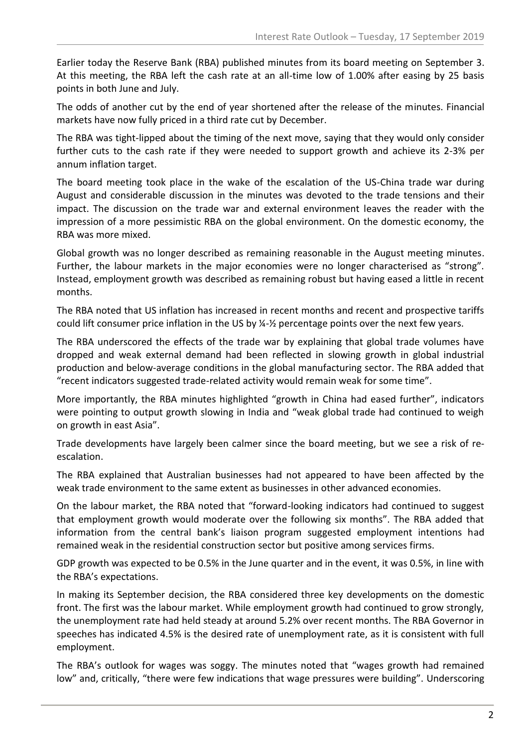Earlier today the Reserve Bank (RBA) published minutes from its board meeting on September 3. At this meeting, the RBA left the cash rate at an all-time low of 1.00% after easing by 25 basis points in both June and July.

The odds of another cut by the end of year shortened after the release of the minutes. Financial markets have now fully priced in a third rate cut by December.

The RBA was tight-lipped about the timing of the next move, saying that they would only consider further cuts to the cash rate if they were needed to support growth and achieve its 2-3% per annum inflation target.

The board meeting took place in the wake of the escalation of the US-China trade war during August and considerable discussion in the minutes was devoted to the trade tensions and their impact. The discussion on the trade war and external environment leaves the reader with the impression of a more pessimistic RBA on the global environment. On the domestic economy, the RBA was more mixed.

Global growth was no longer described as remaining reasonable in the August meeting minutes. Further, the labour markets in the major economies were no longer characterised as "strong". Instead, employment growth was described as remaining robust but having eased a little in recent months.

The RBA noted that US inflation has increased in recent months and recent and prospective tariffs could lift consumer price inflation in the US by ¼-½ percentage points over the next few years.

The RBA underscored the effects of the trade war by explaining that global trade volumes have dropped and weak external demand had been reflected in slowing growth in global industrial production and below-average conditions in the global manufacturing sector. The RBA added that "recent indicators suggested trade-related activity would remain weak for some time".

More importantly, the RBA minutes highlighted "growth in China had eased further", indicators were pointing to output growth slowing in India and "weak global trade had continued to weigh on growth in east Asia".

Trade developments have largely been calmer since the board meeting, but we see a risk of reescalation.

The RBA explained that Australian businesses had not appeared to have been affected by the weak trade environment to the same extent as businesses in other advanced economies.

On the labour market, the RBA noted that "forward-looking indicators had continued to suggest that employment growth would moderate over the following six months". The RBA added that information from the central bank's liaison program suggested employment intentions had remained weak in the residential construction sector but positive among services firms.

GDP growth was expected to be 0.5% in the June quarter and in the event, it was 0.5%, in line with the RBA's expectations.

In making its September decision, the RBA considered three key developments on the domestic front. The first was the labour market. While employment growth had continued to grow strongly, the unemployment rate had held steady at around 5.2% over recent months. The RBA Governor in speeches has indicated 4.5% is the desired rate of unemployment rate, as it is consistent with full employment.

The RBA's outlook for wages was soggy. The minutes noted that "wages growth had remained low" and, critically, "there were few indications that wage pressures were building". Underscoring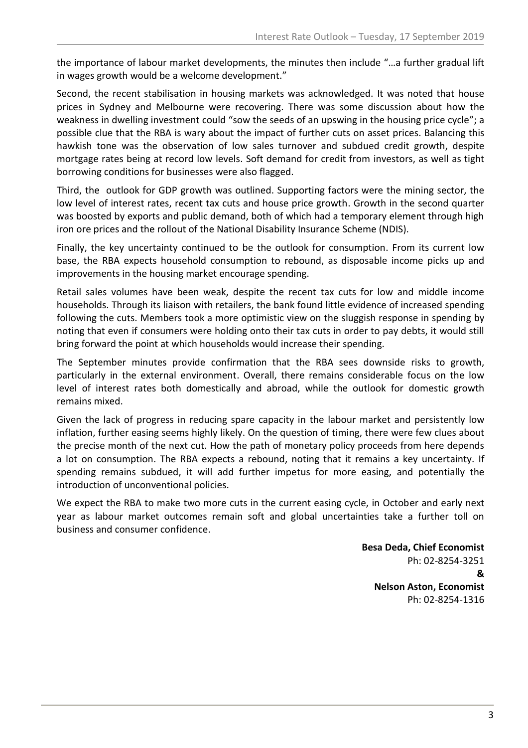the importance of labour market developments, the minutes then include "…a further gradual lift in wages growth would be a welcome development."

Second, the recent stabilisation in housing markets was acknowledged. It was noted that house prices in Sydney and Melbourne were recovering. There was some discussion about how the weakness in dwelling investment could "sow the seeds of an upswing in the housing price cycle"; a possible clue that the RBA is wary about the impact of further cuts on asset prices. Balancing this hawkish tone was the observation of low sales turnover and subdued credit growth, despite mortgage rates being at record low levels. Soft demand for credit from investors, as well as tight borrowing conditions for businesses were also flagged.

Third, the outlook for GDP growth was outlined. Supporting factors were the mining sector, the low level of interest rates, recent tax cuts and house price growth. Growth in the second quarter was boosted by exports and public demand, both of which had a temporary element through high iron ore prices and the rollout of the National Disability Insurance Scheme (NDIS).

Finally, the key uncertainty continued to be the outlook for consumption. From its current low base, the RBA expects household consumption to rebound, as disposable income picks up and improvements in the housing market encourage spending.

Retail sales volumes have been weak, despite the recent tax cuts for low and middle income households. Through its liaison with retailers, the bank found little evidence of increased spending following the cuts. Members took a more optimistic view on the sluggish response in spending by noting that even if consumers were holding onto their tax cuts in order to pay debts, it would still bring forward the point at which households would increase their spending.

The September minutes provide confirmation that the RBA sees downside risks to growth, particularly in the external environment. Overall, there remains considerable focus on the low level of interest rates both domestically and abroad, while the outlook for domestic growth remains mixed.

Given the lack of progress in reducing spare capacity in the labour market and persistently low inflation, further easing seems highly likely. On the question of timing, there were few clues about the precise month of the next cut. How the path of monetary policy proceeds from here depends a lot on consumption. The RBA expects a rebound, noting that it remains a key uncertainty. If spending remains subdued, it will add further impetus for more easing, and potentially the introduction of unconventional policies.

We expect the RBA to make two more cuts in the current easing cycle, in October and early next year as labour market outcomes remain soft and global uncertainties take a further toll on business and consumer confidence.

> **Besa Deda, Chief Economist** Ph: 02-8254-3251 **& Nelson Aston, Economist** Ph: 02-8254-1316